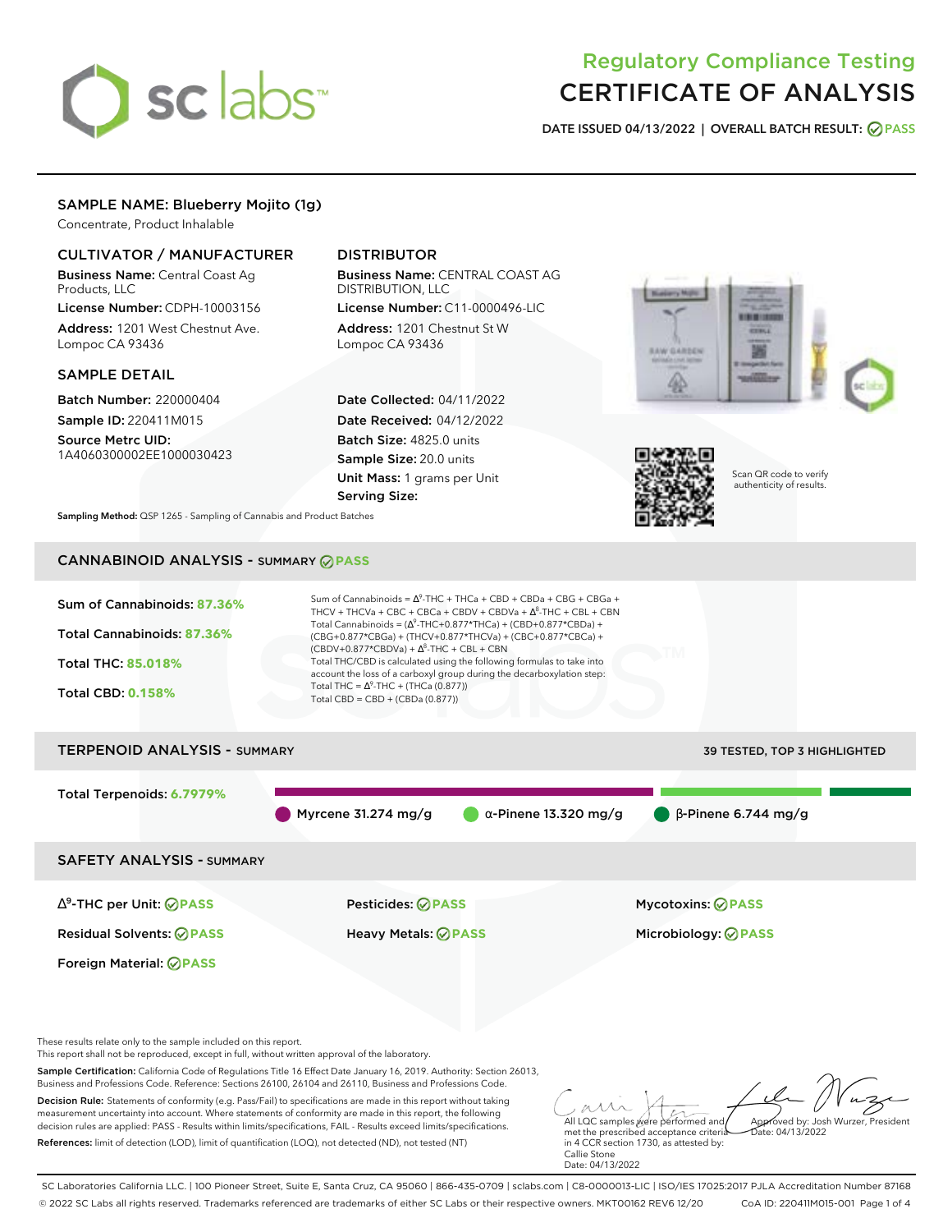# sclabs<sup>\*</sup>

# Regulatory Compliance Testing CERTIFICATE OF ANALYSIS

**DATE ISSUED 04/13/2022 | OVERALL BATCH RESULT: PASS**

# SAMPLE NAME: Blueberry Mojito (1g)

Concentrate, Product Inhalable

# CULTIVATOR / MANUFACTURER

Business Name: Central Coast Ag Products, LLC

License Number: CDPH-10003156 Address: 1201 West Chestnut Ave. Lompoc CA 93436

# SAMPLE DETAIL

Batch Number: 220000404 Sample ID: 220411M015

Source Metrc UID: 1A4060300002EE1000030423

# DISTRIBUTOR

Business Name: CENTRAL COAST AG DISTRIBUTION, LLC

License Number: C11-0000496-LIC Address: 1201 Chestnut St W Lompoc CA 93436

Date Collected: 04/11/2022 Date Received: 04/12/2022 Batch Size: 4825.0 units Sample Size: 20.0 units Unit Mass: 1 grams per Unit Serving Size:





Scan QR code to verify authenticity of results.

**Sampling Method:** QSP 1265 - Sampling of Cannabis and Product Batches

# CANNABINOID ANALYSIS - SUMMARY **PASS**



References: limit of detection (LOD), limit of quantification (LOQ), not detected (ND), not tested (NT)

met the prescribed acceptance criteria in 4 CCR section 1730, as attested by: Callie Stone Date: 04/13/2022

SC Laboratories California LLC. | 100 Pioneer Street, Suite E, Santa Cruz, CA 95060 | 866-435-0709 | sclabs.com | C8-0000013-LIC | ISO/IES 17025:2017 PJLA Accreditation Number 87168 © 2022 SC Labs all rights reserved. Trademarks referenced are trademarks of either SC Labs or their respective owners. MKT00162 REV6 12/20 CoA ID: 220411M015-001 Page 1 of 4